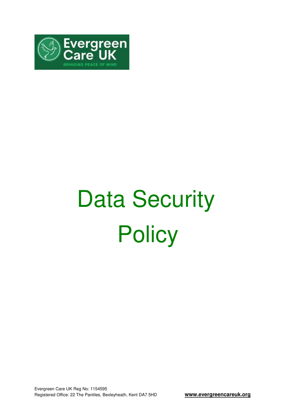

# Data Security **Policy**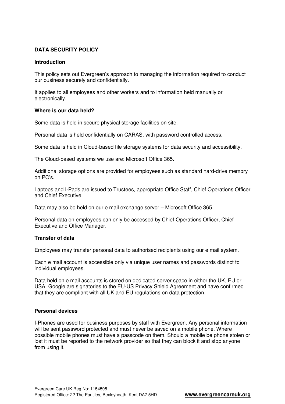# **DATA SECURITY POLICY**

#### **Introduction**

This policy sets out Evergreen's approach to managing the information required to conduct our business securely and confidentially.

It applies to all employees and other workers and to information held manually or electronically.

#### **Where is our data held?**

Some data is held in secure physical storage facilities on site.

Personal data is held confidentially on CARAS, with password controlled access.

Some data is held in Cloud-based file storage systems for data security and accessibility.

The Cloud-based systems we use are: Microsoft Office 365.

Additional storage options are provided for employees such as standard hard-drive memory on PC's.

Laptops and I-Pads are issued to Trustees, appropriate Office Staff, Chief Operations Officer and Chief Executive.

Data may also be held on our e mail exchange server – Microsoft Office 365.

Personal data on employees can only be accessed by Chief Operations Officer, Chief Executive and Office Manager.

## **Transfer of data**

Employees may transfer personal data to authorised recipients using our e mail system.

Each e mail account is accessible only via unique user names and passwords distinct to individual employees.

Data held on e mail accounts is stored on dedicated server space in either the UK, EU or USA. Google are signatories to the EU-US Privacy Shield Agreement and have confirmed that they are compliant with all UK and EU regulations on data protection.

## **Personal devices**

I-Phones are used for business purposes by staff with Evergreen. Any personal information will be sent password protected and must never be saved on a mobile phone. Where possible mobile phones must have a passcode on them. Should a mobile be phone stolen or lost it must be reported to the network provider so that they can block it and stop anyone from using it.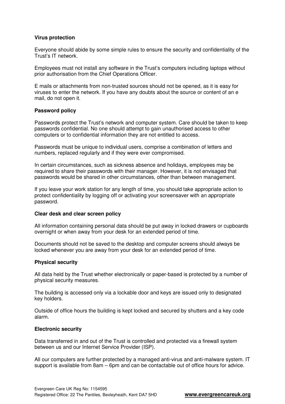#### **Virus protection**

Everyone should abide by some simple rules to ensure the security and confidentiality of the Trust's IT network.

Employees must not install any software in the Trust's computers including laptops without prior authorisation from the Chief Operations Officer.

E mails or attachments from non-trusted sources should not be opened, as it is easy for viruses to enter the network. If you have any doubts about the source or content of an e mail, do not open it.

#### **Password policy**

Passwords protect the Trust's network and computer system. Care should be taken to keep passwords confidential. No one should attempt to gain unauthorised access to other computers or to confidential information they are not entitled to access.

Passwords must be unique to individual users, comprise a combination of letters and numbers, replaced regularly and if they were ever compromised.

In certain circumstances, such as sickness absence and holidays, employees may be required to share their passwords with their manager. However, it is not envisaged that passwords would be shared in other circumstances, other than between management.

If you leave your work station for any length of time, you should take appropriate action to protect confidentiality by logging off or activating your screensaver with an appropriate password.

#### **Clear desk and clear screen policy**

All information containing personal data should be put away in locked drawers or cupboards overnight or when away from your desk for an extended period of time.

Documents should not be saved to the desktop and computer screens should always be locked whenever you are away from your desk for an extended period of time.

## **Physical security**

All data held by the Trust whether electronically or paper-based is protected by a number of physical security measures.

The building is accessed only via a lockable door and keys are issued only to designated key holders.

Outside of office hours the building is kept locked and secured by shutters and a key code alarm.

#### **Electronic security**

Data transferred in and out of the Trust is controlled and protected via a firewall system between us and our Internet Service Provider (ISP).

All our computers are further protected by a managed anti-virus and anti-malware system. IT support is available from 8am – 6pm and can be contactable out of office hours for advice.